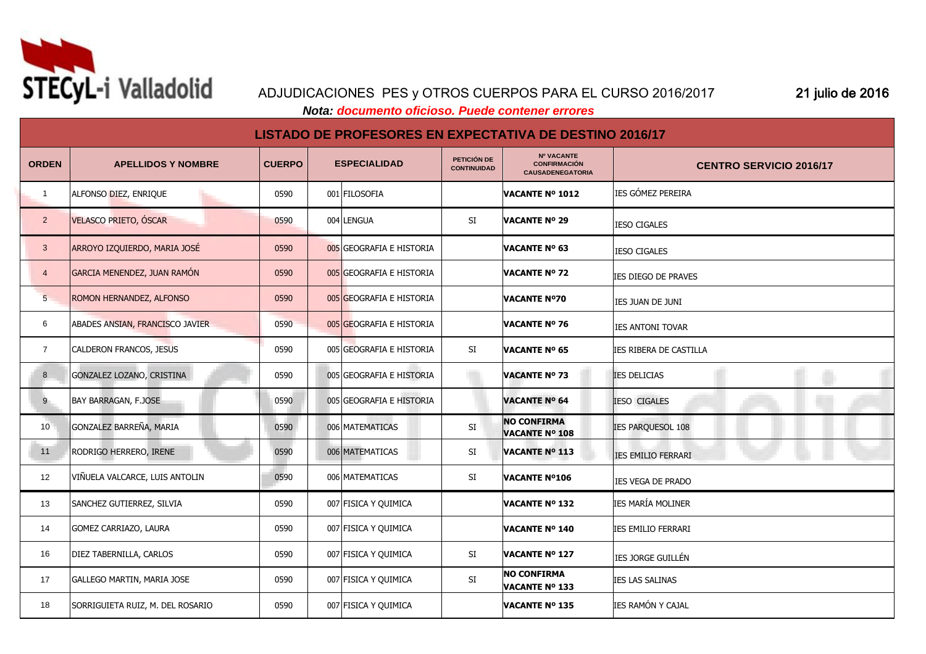

## ADJUDICACIONES PES y OTROS CUERPOS PARA EL CURSO 2016/2017 21 julio de 2016

 *Nota: documento oficioso. Puede contener errores*

## **LISTADO DE PROFESORES EN EXPECTATIVA DE DESTINO 2016/17**

| <b>ORDEN</b>    | <b>APELLIDOS Y NOMBRE</b>        | <b>CUERPO</b> | <b>ESPECIALIDAD</b>      | PETICIÓN DE<br><b>CONTINUIDAD</b> | <b>Nº VACANTE</b><br><b>CONFIRMACIÓN</b><br><b>CAUSADENEGATORIA</b> | <b>CENTRO SERVICIO 2016/17</b> |
|-----------------|----------------------------------|---------------|--------------------------|-----------------------------------|---------------------------------------------------------------------|--------------------------------|
| $\overline{1}$  | ALFONSO DIEZ, ENRIQUE            | 0590          | 001 FILOSOFIA            |                                   | <b>VACANTE Nº 1012</b>                                              | <b>IES GÓMEZ PEREIRA</b>       |
| $\overline{2}$  | VELASCO PRIETO, ÓSCAR            | 0590          | 004 LENGUA               | SI                                | <b>VACANTE Nº 29</b>                                                | <b>IESO CIGALES</b>            |
| $\mathbf{3}$    | ARROYO IZQUIERDO, MARIA JOSÉ     | 0590          | 005 GEOGRAFIA E HISTORIA |                                   | <b>VACANTE Nº 63</b>                                                | <b>IESO CIGALES</b>            |
| $\overline{4}$  | GARCIA MENENDEZ, JUAN RAMÓN      | 0590          | 005 GEOGRAFIA E HISTORIA |                                   | <b>VACANTE Nº 72</b>                                                | ies diego de praves            |
| $5\overline{)}$ | ROMON HERNANDEZ, ALFONSO         | 0590          | 005 GEOGRAFIA E HISTORIA |                                   | <b>VACANTE Nº70</b>                                                 | IES JUAN DE JUNI               |
| 6               | ABADES ANSIAN, FRANCISCO JAVIER  | 0590          | 005 GEOGRAFIA E HISTORIA |                                   | <b>VACANTE Nº 76</b>                                                | <b>IES ANTONI TOVAR</b>        |
| $\overline{7}$  | CALDERON FRANCOS, JESUS          | 0590          | 005 GEOGRAFIA E HISTORIA | SI                                | <b>VACANTE Nº 65</b>                                                | IES RIBERA DE CASTILLA         |
| 8               | GONZALEZ LOZANO, CRISTINA        | 0590          | 005 GEOGRAFIA E HISTORIA |                                   | <b>VACANTE Nº 73</b>                                                | <b>IES DELICIAS</b>            |
| 9               | <b>BAY BARRAGAN, F.JOSE</b>      | 0590          | 005 GEOGRAFIA E HISTORIA |                                   | <b>VACANTE Nº 64</b>                                                | <b>IESO CIGALES</b>            |
| 10 <sup>7</sup> | GONZALEZ BARREÑA, MARIA          | 0590          | 006 MATEMATICAS          | SI                                | <b>NO CONFIRMA</b><br><b>VACANTE Nº 108</b>                         | IES PARQUESOL 108              |
| 11              | <b>RODRIGO HERRERO, IRENE</b>    | 0590          | 006 MATEMATICAS          | SI                                | <b>VACANTE Nº 113</b>                                               | <b>IES EMILIO FERRARI</b>      |
| 12              | VIÑUELA VALCARCE, LUIS ANTOLIN   | 0590          | 006 MATEMATICAS          | SI                                | <b>VACANTE Nº106</b>                                                | IES VEGA DE PRADO              |
| 13              | SANCHEZ GUTIERREZ, SILVIA        | 0590          | 007 FISICA Y OUIMICA     |                                   | <b>VACANTE Nº 132</b>                                               | IES MARÍA MOLINER              |
| 14              | GOMEZ CARRIAZO, LAURA            | 0590          | 007 FISICA Y OUIMICA     |                                   | <b>VACANTE Nº 140</b>                                               | IES EMILIO FERRARI             |
| 16              | <b>DIEZ TABERNILLA, CARLOS</b>   | 0590          | 007 FISICA Y OUIMICA     | SI                                | <b>VACANTE Nº 127</b>                                               | <b>IES JORGE GUILLÉN</b>       |
| 17              | GALLEGO MARTIN, MARIA JOSE       | 0590          | 007 FISICA Y OUIMICA     | SI                                | <b>NO CONFIRMA</b><br><b>VACANTE Nº 133</b>                         | <b>IES LAS SALINAS</b>         |
| 18              | SORRIGUIETA RUIZ, M. DEL ROSARIO | 0590          | 007 FISICA Y OUIMICA     |                                   | <b>VACANTE Nº 135</b>                                               | IES RAMÓN Y CAJAL              |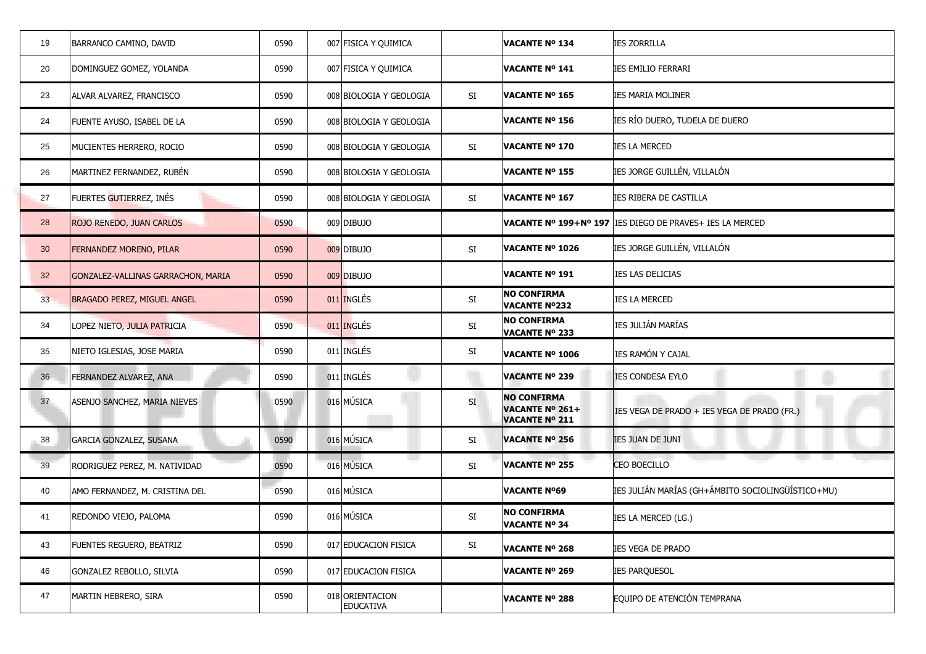| 19              | BARRANCO CAMINO, DAVID             | 0590 | 007 FISICA Y QUIMICA                |               | <b>VACANTE Nº 134</b>                                          | <b>IES ZORRILLA</b>                                        |
|-----------------|------------------------------------|------|-------------------------------------|---------------|----------------------------------------------------------------|------------------------------------------------------------|
| 20              | DOMINGUEZ GOMEZ, YOLANDA           | 0590 | 007 FISICA Y QUIMICA                |               | <b>VACANTE Nº 141</b>                                          | <b>IES EMILIO FERRARI</b>                                  |
| 23              | ALVAR ALVAREZ, FRANCISCO           | 0590 | 008 BIOLOGIA Y GEOLOGIA             | SI            | <b>VACANTE Nº 165</b>                                          | <b>IES MARIA MOLINER</b>                                   |
| 24              | FUENTE AYUSO, ISABEL DE LA         | 0590 | 008 BIOLOGIA Y GEOLOGIA             |               | <b>VACANTE Nº 156</b>                                          | IES RÍO DUERO, TUDELA DE DUERO                             |
| 25              | MUCIENTES HERRERO, ROCIO           | 0590 | 008 BIOLOGIA Y GEOLOGIA             | SI            | <b>VACANTE Nº 170</b>                                          | ies la merced                                              |
| 26              | MARTINEZ FERNANDEZ, RUBÉN          | 0590 | 008 BIOLOGIA Y GEOLOGIA             |               | <b>VACANTE Nº 155</b>                                          | IES JORGE GUILLÉN, VILLALÓN                                |
| 27              | FUERTES GUTIERREZ, INÉS            | 0590 | 008 BIOLOGIA Y GEOLOGIA             | SI            | <b>VACANTE Nº 167</b>                                          | IES RIBERA DE CASTILLA                                     |
| 28              | ROJO RENEDO, JUAN CARLOS           | 0590 | 009 DIBUJO                          |               |                                                                | VACANTE Nº 199+Nº 197   IES DIEGO DE PRAVES+ IES LA MERCED |
| 30 <sup>°</sup> | <b>FERNANDEZ MORENO, PILAR</b>     | 0590 | 009 DIBUJO                          | $\mathsf{SI}$ | <b>VACANTE Nº 1026</b>                                         | IES JORGE GUILLÉN, VILLALÓN                                |
| 32 <sup>2</sup> | GONZALEZ-VALLINAS GARRACHON, MARIA | 0590 | 009 DIBUJO                          |               | <b>VACANTE Nº 191</b>                                          | IES LAS DELICIAS                                           |
| 33 <sup>5</sup> | BRAGADO PEREZ, MIGUEL ANGEL        | 0590 | 011 INGLÉS                          | SI            | <b>NO CONFIRMA</b><br><b>VACANTE Nº232</b>                     | <b>IES LA MERCED</b>                                       |
| 34              | LOPEZ NIETO, JULIA PATRICIA        | 0590 | 011 INGLÉS                          | SI            | <b>NO CONFIRMA</b><br><b>VACANTE Nº 233</b>                    | IES JULIÁN MARÍAS                                          |
| 35              | NIETO IGLESIAS, JOSE MARIA         | 0590 | 011 INGLÉS                          | SI            | <b>VACANTE Nº 1006</b>                                         | IES RAMÓN Y CAJAL                                          |
| 36              | FERNANDEZ ALVAREZ, ANA             | 0590 | 011 INGLÉS                          |               | <b>VACANTE Nº 239</b>                                          | <b>IES CONDESA EYLO</b>                                    |
| 37              | ASENJO SANCHEZ, MARIA NIEVES       | 0590 | 016 MÚSICA                          | SI            | <b>NO CONFIRMA</b><br>VACANTE Nº 261+<br><b>VACANTE Nº 211</b> | IES VEGA DE PRADO + IES VEGA DE PRADO (FR.)                |
| 38              | GARCIA GONZALEZ, SUSANA            | 0590 | 016 MÚSICA                          | SI            | <b>VACANTE Nº 256</b>                                          | IES JUAN DE JUNI                                           |
| 39              | RODRIGUEZ PEREZ, M. NATIVIDAD      | 0590 | m.<br>016 MÚSICA                    | SI            | <b>VACANTE Nº 255</b>                                          | CEO BOECILLO                                               |
| 40              | AMO FERNANDEZ, M. CRISTINA DEL     | 0590 | 016 MÚSICA                          |               | <b>VACANTE Nº69</b>                                            | IES JULIÁN MARÍAS (GH+ÁMBITO SOCIOLINGÜÍSTICO+MU)          |
| 41              | REDONDO VIEJO, PALOMA              | 0590 | 016 MÚSICA                          | SI            | <b>NO CONFIRMA</b><br><b>VACANTE Nº 34</b>                     | IES LA MERCED (LG.)                                        |
| 43              | <b>FUENTES REGUERO, BEATRIZ</b>    | 0590 | 017 EDUCACION FISICA                | SI            | <b>VACANTE Nº 268</b>                                          | IES VEGA DE PRADO                                          |
| 46              | GONZALEZ REBOLLO, SILVIA           | 0590 | 017 EDUCACION FISICA                |               | <b>VACANTE Nº 269</b>                                          | <b>IES PARQUESOL</b>                                       |
| 47              | MARTIN HEBRERO, SIRA               | 0590 | 018 ORIENTACION<br><b>EDUCATIVA</b> |               | <b>VACANTE Nº 288</b>                                          | EQUIPO DE ATENCIÓN TEMPRANA                                |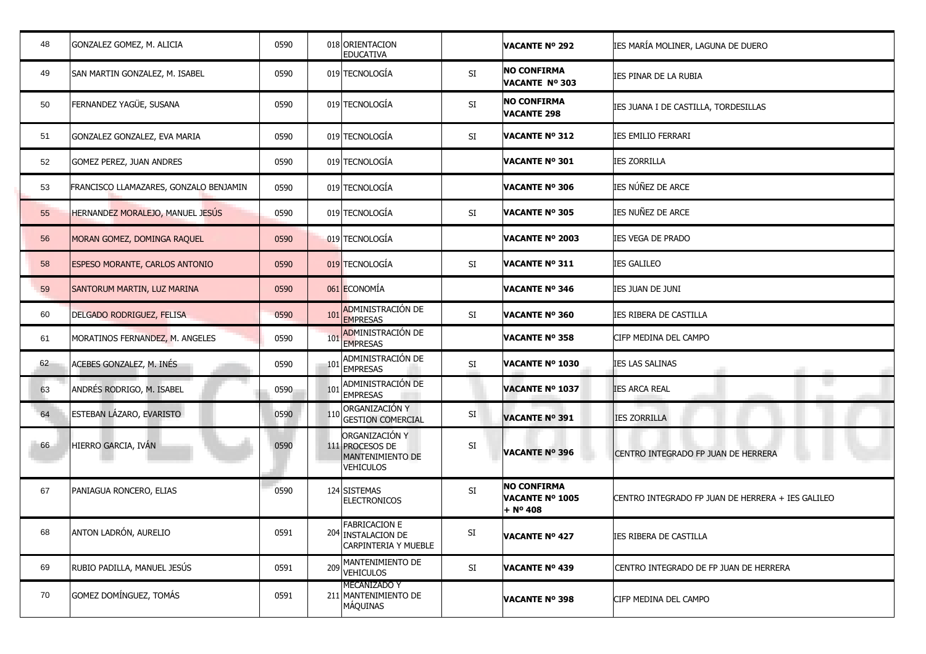| 48 | GONZALEZ GOMEZ, M. ALICIA              | 0590 | 018 ORIENTACION<br><b>EDUCATIVA</b>                                              |           | <b>VACANTE Nº 292</b>                                    | IES MARÍA MOLINER, LAGUNA DE DUERO                |
|----|----------------------------------------|------|----------------------------------------------------------------------------------|-----------|----------------------------------------------------------|---------------------------------------------------|
| 49 | SAN MARTIN GONZALEZ, M. ISABEL         | 0590 | 019 TECNOLOGÍA                                                                   | SI        | <b>NO CONFIRMA</b><br>VACANTE Nº 303                     | IES PINAR DE LA RUBIA                             |
| 50 | FERNANDEZ YAGÜE, SUSANA                | 0590 | 019 TECNOLOGÍA                                                                   | SI        | <b>NO CONFIRMA</b><br><b>VACANTE 298</b>                 | IES JUANA I DE CASTILLA, TORDESILLAS              |
| 51 | GONZALEZ GONZALEZ, EVA MARIA           | 0590 | 019 TECNOLOGÍA                                                                   | SI        | <b>VACANTE Nº 312</b>                                    | <b>IES EMILIO FERRARI</b>                         |
| 52 | <b>GOMEZ PEREZ, JUAN ANDRES</b>        | 0590 | 019 TECNOLOGÍA                                                                   |           | VACANTE Nº 301                                           | <b>IES ZORRILLA</b>                               |
| 53 | FRANCISCO LLAMAZARES, GONZALO BENJAMIN | 0590 | 019 TECNOLOGÍA                                                                   |           | <b>VACANTE Nº 306</b>                                    | IES NÚÑEZ DE ARCE                                 |
| 55 | HERNANDEZ MORALEJO, MANUEL JESÚS       | 0590 | 019 TECNOLOGÍA                                                                   | SI        | <b>VACANTE Nº 305</b>                                    | IES NUÑEZ DE ARCE                                 |
| 56 | MORAN GOMEZ, DOMINGA RAQUEL            | 0590 | 019 TECNOLOGÍA                                                                   |           | VACANTE Nº 2003                                          | IES VEGA DE PRADO                                 |
| 58 | <b>ESPESO MORANTE, CARLOS ANTONIO</b>  | 0590 | 019 TECNOLOGÍA                                                                   | SI        | <b>VACANTE Nº 311</b>                                    | <b>IES GALILEO</b>                                |
| 59 | SANTORUM MARTIN, LUZ MARINA            | 0590 | 061 ECONOMÍA                                                                     |           | <b>VACANTE Nº 346</b>                                    | IES JUAN DE JUNI                                  |
| 60 | DELGADO RODRIGUEZ, FELISA              | 0590 | ADMINISTRACIÓN DE<br>101<br><b>EMPRESAS</b>                                      | SI        | VACANTE Nº 360                                           | IES RIBERA DE CASTILLA                            |
| 61 | MORATINOS FERNANDEZ, M. ANGELES        | 0590 | <b>ADMINISTRACIÓN DE</b><br>101<br><b>EMPRESAS</b>                               |           | VACANTE Nº 358                                           | CIFP MEDINA DEL CAMPO                             |
| 62 | ACEBES GONZALEZ, M. INÉS               | 0590 | ADMINISTRACIÓN DE<br>101<br><b>EMPRESAS</b>                                      | SI        | <b>VACANTE Nº 1030</b>                                   | <b>IES LAS SALINAS</b>                            |
| 63 | ANDRÉS RODRIGO, M. ISABEL              | 0590 | ADMINISTRACIÓN DE<br>101<br><b>EMPRESAS</b>                                      |           | <b>VACANTE Nº 1037</b>                                   | <b>IES ARCA REAL</b>                              |
| 64 | ESTEBAN LÁZARO, EVARISTO               | 0590 | ORGANIZACIÓN Y<br><b>GESTION COMERCIAL</b>                                       | <b>SI</b> | <b>VACANTE Nº 391</b>                                    | <b>IES ZORRILLA</b>                               |
| 66 | HIERRO GARCIA, IVÁN                    | 0590 | ORGANIZACIÓN Y<br>111 PROCESOS DE<br><b>MANTENIMIENTO DE</b><br><b>VEHICULOS</b> | SI        | <b>VACANTE Nº 396</b>                                    | CENTRO INTEGRADO FP JUAN DE HERRERA               |
| 67 | PANIAGUA RONCERO, ELIAS                | 0590 | 124 SISTEMAS<br><b>ELECTRONICOS</b>                                              | SI        | <b>NO CONFIRMA</b><br><b>VACANTE Nº 1005</b><br>+ Nº 408 | CENTRO INTEGRADO FP JUAN DE HERRERA + IES GALILEO |
| 68 | ANTON LADRÓN, AURELIO                  | 0591 | <b>FABRICACION E</b><br>204 INSTALACION DE<br>CARPINTERIA Y MUEBLE               | SI        | <b>VACANTE Nº 427</b>                                    | IES RIBERA DE CASTILLA                            |
| 69 | RUBIO PADILLA, MANUEL JESÚS            | 0591 | MANTENIMIENTO DE<br>209<br><b>VEHICULOS</b>                                      | SI        | <b>VACANTE Nº 439</b>                                    | CENTRO INTEGRADO DE FP JUAN DE HERRERA            |
| 70 | GOMEZ DOMÍNGUEZ, TOMÁS                 | 0591 | MECANIZADO Y<br>211 MANTENIMIENTO DE<br>MÁQUINAS                                 |           | VACANTE Nº 398                                           | CIFP MEDINA DEL CAMPO                             |